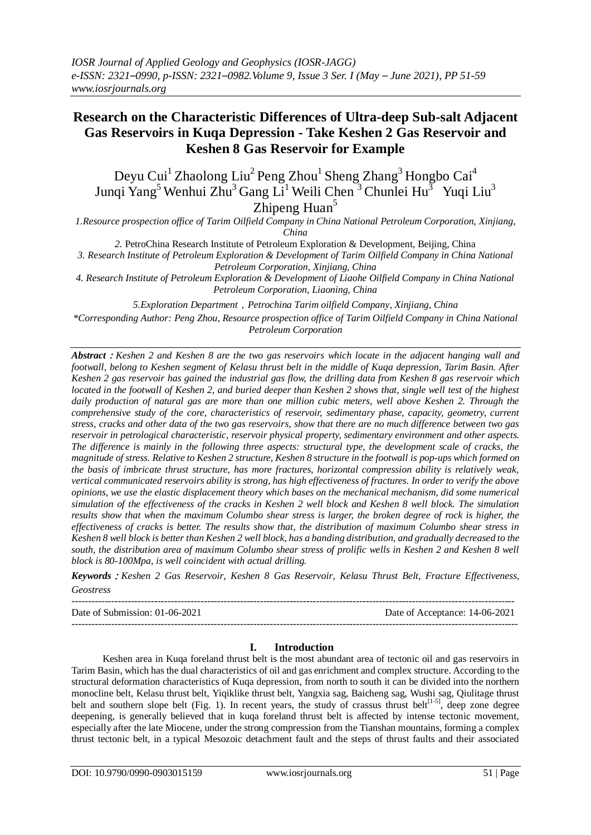# **[Research](http://www.youdao.com/w/research/#keyfrom=E2Ctranslation) on the Characteristic Differences of Ultra-deep Sub-salt Adjacent Gas Reservoirs in Kuqa Depression - Take Keshen 2 Gas Reservoir and Keshen 8 Gas Reservoir for Example**

Deyu Cui<sup>1</sup> Zhaolong Liu<sup>2</sup> Peng Zhou<sup>1</sup> Sheng Zhang<sup>3</sup> Hongbo Cai<sup>4</sup> Junqi Yang<sup>5</sup> Wenhui Zhu<sup>3</sup> Gang Li<sup>1</sup> Weili Chen<sup>3</sup> Chunlei Hu<sup>3</sup> Yuqi Liu<sup>3</sup>

Zhipeng Huan $5$ 

*1.Resource prospection office of Tarim Oilfield Company in China National Petroleum Corporation, Xinjiang, China* 

*2.* PetroChina Research Institute of Petroleum Exploration & Development, Beijing, China

*3. Research Institute of Petroleum Exploration & Development of Tarim Oilfield Company in China National Petroleum Corporation, Xinjiang, China* 

*4. Research Institute of Petroleum Exploration & Development of Liaohe Oilfield Company in China National Petroleum Corporation, Liaoning, China* 

*5.Exploration Department*,*Petrochina Tarim oilfield Company, Xinjiang, China*

*\*Corresponding Author: Peng Zhou, Resource prospection office of Tarim Oilfield Company in China National Petroleum Corporation*

*Abstract*:*Keshen 2 and Keshen 8 are the two gas reservoirs which locate in the adjacent hanging wall and footwall, belong to Keshen segment of Kelasu thrust belt in the middle of Kuqa depression, Tarim Basin. After Keshen 2 gas reservoir has gained the industrial gas flow, the drilling data from Keshen 8 gas reservoir which located in the footwall of Keshen 2, and buried deeper than Keshen 2 shows that, single well test of the highest daily production of natural gas are more than one million cubic meters, well above Keshen 2. Through the comprehensive study of the core, characteristics of reservoir, sedimentary phase, capacity, geometry, current stress, cracks and other data of the two gas reservoirs, show that there are no much difference between two gas reservoir in petrological characteristic, reservoir physical property, sedimentary environment and other aspects. The difference is mainly in the following three aspects: structural type, the development scale of cracks, the magnitude of stress. Relative to Keshen 2 structure, Keshen 8 structure in the footwall is pop-ups which formed on the basis of imbricate thrust structure, has more fractures, horizontal compression ability is relatively weak, vertical communicated reservoirs ability is strong, has high effectiveness of fractures. In order to verify the above opinions, we use the elastic displacement theory which bases on the mechanical mechanism, did some numerical simulation of the effectiveness of the cracks in Keshen 2 well block and Keshen 8 well block. The simulation results show that when the maximum Columbo shear stress is larger, the broken degree of rock is higher, the effectiveness of cracks is better. The results show that, the distribution of maximum Columbo shear stress in Keshen 8 well block is better than Keshen 2 well block, has a banding distribution, and gradually decreased to the south, the distribution area of maximum Columbo shear stress of prolific wells in Keshen 2 and Keshen 8 well block is 80-100Mpa, is well coincident with actual drilling.*

*Keywords*:*Keshen 2 Gas Reservoir, Keshen 8 Gas Reservoir, Kelasu Thrust Belt, Fracture Effectiveness, Geostress*

-------------------------------------------------------------------------------------------------------------------------------------- Date of Submission: 01-06-2021 Date of Acceptance: 14-06-2021 ---------------------------------------------------------------------------------------------------------------------------------------

# **I. Introduction**

Keshen area in Kuqa foreland thrust belt is the most abundant area of tectonic oil and gas reservoirs in Tarim Basin, which has the dual characteristics of oil and gas enrichment and complex structure. According to the structural deformation characteristics of Kuqa depression, from north to south it can be divided into the northern monocline belt, Kelasu thrust belt, Yiqiklike thrust belt, Yangxia sag, Baicheng sag, Wushi sag, Qiulitage thrust belt and southern slope belt (Fig. 1). In recent years, the study of crassus thrust belt<sup>[1-5]</sup>, deep zone degree deepening, is generally believed that in kuqa foreland thrust belt is affected by intense tectonic movement, especially after the late Miocene, under the strong compression from the Tianshan mountains, forming a complex thrust tectonic belt, in a typical Mesozoic detachment fault and the steps of thrust faults and their associated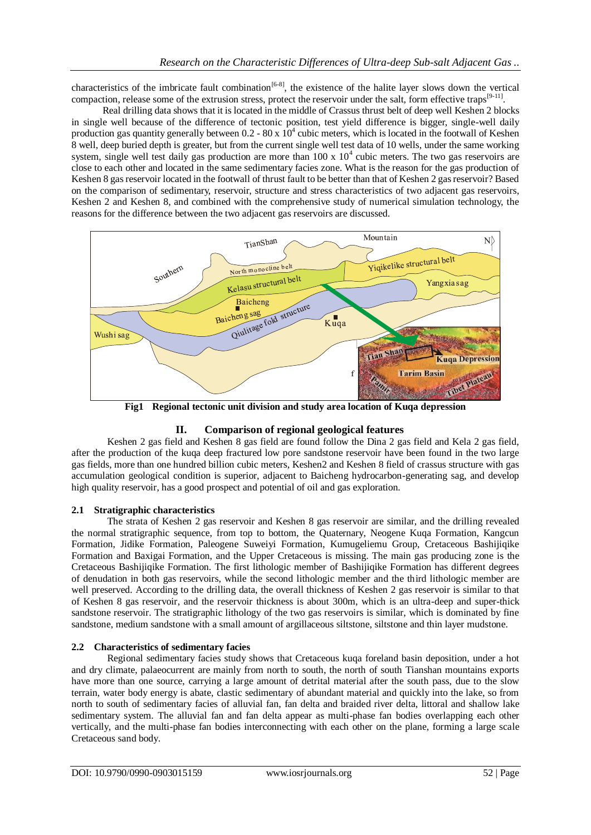characteristics of the imbricate fault combination<sup>[6-8]</sup>, the existence of the halite layer slows down the vertical compaction, release some of the extrusion stress, protect the reservoir under the salt, form effective traps<sup>[9-11]</sup>.

Real drilling data shows that it is located in the middle of Crassus thrust belt of deep well Keshen 2 blocks in single well because of the difference of tectonic position, test yield difference is bigger, single-well daily production gas quantity generally between  $0.2 - 80 \times 10^4$  cubic meters, which is located in the footwall of Keshen 8 well, deep buried depth is greater, but from the current single well test data of 10 wells, under the same working system, single well test daily gas production are more than  $100 \times 10^4$  cubic meters. The two gas reservoirs are close to each other and located in the same sedimentary facies zone. What is the reason for the gas production of Keshen 8 gas reservoir located in the footwall of thrust fault to be better than that of Keshen 2 gas reservoir? Based on the comparison of sedimentary, reservoir, structure and stress characteristics of two adjacent gas reservoirs, Keshen 2 and Keshen 8, and combined with the comprehensive study of numerical simulation technology, the reasons for the difference between the two adjacent gas reservoirs are discussed.



**Fig1 Regional tectonic unit division and study area location of Kuqa depression**

# **II. Comparison of regional geological features**

Keshen 2 gas field and Keshen 8 gas field are found follow the Dina 2 gas field and Kela 2 gas field, after the production of the kuqa deep fractured low pore sandstone reservoir have been found in the two large gas fields, more than one hundred billion cubic meters, Keshen2 and Keshen 8 field of crassus structure with gas accumulation geological condition is superior, adjacent to Baicheng hydrocarbon-generating sag, and develop high quality reservoir, has a good prospect and potential of oil and gas exploration.

# **2.1 Stratigraphic characteristics**

The strata of Keshen 2 gas reservoir and Keshen 8 gas reservoir are similar, and the drilling revealed the normal stratigraphic sequence, from top to bottom, the Quaternary, Neogene Kuqa Formation, Kangcun Formation, Jidike Formation, Paleogene Suweiyi Formation, Kumugeliemu Group, Cretaceous Bashijiqike Formation and Baxigai Formation, and the Upper Cretaceous is missing. The main gas producing zone is the Cretaceous Bashijiqike Formation. The first lithologic member of Bashijiqike Formation has different degrees of denudation in both gas reservoirs, while the second lithologic member and the third lithologic member are well preserved. According to the drilling data, the overall thickness of Keshen 2 gas reservoir is similar to that of Keshen 8 gas reservoir, and the reservoir thickness is about 300m, which is an ultra-deep and super-thick sandstone reservoir. The stratigraphic lithology of the two gas reservoirs is similar, which is dominated by fine sandstone, medium sandstone with a small amount of argillaceous siltstone, siltstone and thin layer mudstone.

# **2.2 Characteristics of sedimentary facies**

Regional sedimentary facies study shows that Cretaceous kuqa foreland basin deposition, under a hot and dry climate, palaeocurrent are mainly from north to south, the north of south Tianshan mountains exports have more than one source, carrying a large amount of detrital material after the south pass, due to the slow terrain, water body energy is abate, clastic sedimentary of abundant material and quickly into the lake, so from north to south of sedimentary facies of alluvial fan, fan delta and braided river delta, littoral and shallow lake sedimentary system. The alluvial fan and fan delta appear as multi-phase fan bodies overlapping each other vertically, and the multi-phase fan bodies interconnecting with each other on the plane, forming a large scale Cretaceous sand body.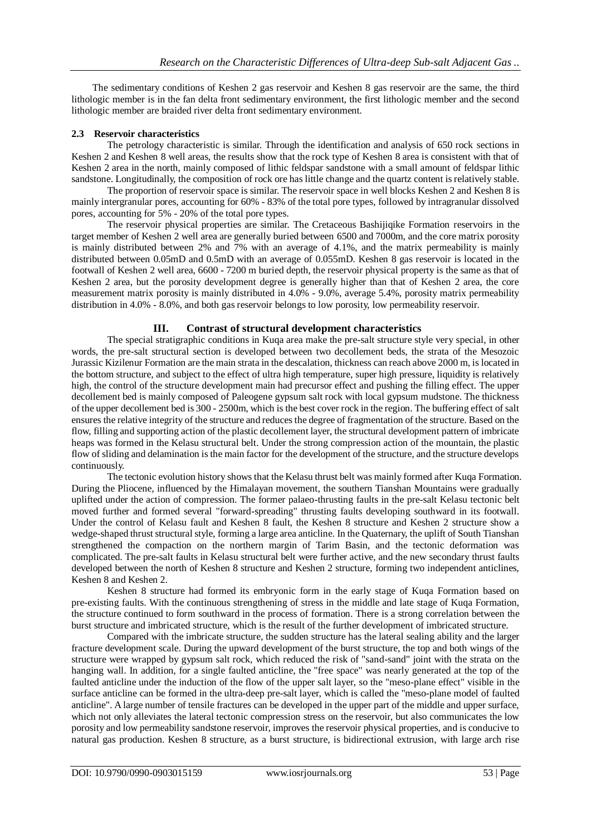The sedimentary conditions of Keshen 2 gas reservoir and Keshen 8 gas reservoir are the same, the third lithologic member is in the fan delta front sedimentary environment, the first lithologic member and the second lithologic member are braided river delta front sedimentary environment.

# **2.3 Reservoir characteristics**

The petrology characteristic is similar. Through the identification and analysis of 650 rock sections in Keshen 2 and Keshen 8 well areas, the results show that the rock type of Keshen 8 area is consistent with that of Keshen 2 area in the north, mainly composed of lithic feldspar sandstone with a small amount of feldspar lithic sandstone. Longitudinally, the composition of rock ore has little change and the quartz content is relatively stable.

The proportion of reservoir space is similar. The reservoir space in well blocks Keshen 2 and Keshen 8 is mainly intergranular pores, accounting for 60% - 83% of the total pore types, followed by intragranular dissolved pores, accounting for 5% - 20% of the total pore types.

The reservoir physical properties are similar. The Cretaceous Bashijiqike Formation reservoirs in the target member of Keshen 2 well area are generally buried between 6500 and 7000m, and the core matrix porosity is mainly distributed between 2% and 7% with an average of 4.1%, and the matrix permeability is mainly distributed between 0.05mD and 0.5mD with an average of 0.055mD. Keshen 8 gas reservoir is located in the footwall of Keshen 2 well area, 6600 - 7200 m buried depth, the reservoir physical property is the same as that of Keshen 2 area, but the porosity development degree is generally higher than that of Keshen 2 area, the core measurement matrix porosity is mainly distributed in 4.0% - 9.0%, average 5.4%, porosity matrix permeability distribution in 4.0% - 8.0%, and both gas reservoir belongs to low porosity, low permeability reservoir.

# **III. Contrast of structural development characteristics**

The special stratigraphic conditions in Kuqa area make the pre-salt structure style very special, in other words, the pre-salt structural section is developed between two decollement beds, the strata of the Mesozoic Jurassic Kizilenur Formation are the main strata in the descalation, thickness can reach above 2000 m, is located in the bottom structure, and subject to the effect of ultra high temperature, super high pressure, liquidity is relatively high, the control of the structure development main had precursor effect and pushing the filling effect. The upper decollement bed is mainly composed of Paleogene gypsum salt rock with local gypsum mudstone. The thickness of the upper decollement bed is 300 - 2500m, which is the best cover rock in the region. The buffering effect of salt ensures the relative integrity of the structure and reduces the degree of fragmentation of the structure. Based on the flow, filling and supporting action of the plastic decollement layer, the structural development pattern of imbricate heaps was formed in the Kelasu structural belt. Under the strong compression action of the mountain, the plastic flow of sliding and delamination is the main factor for the development of the structure, and the structure develops continuously.

The tectonic evolution history shows that the Kelasu thrust belt was mainly formed after Kuqa Formation. During the Pliocene, influenced by the Himalayan movement, the southern Tianshan Mountains were gradually uplifted under the action of compression. The former palaeo-thrusting faults in the pre-salt Kelasu tectonic belt moved further and formed several "forward-spreading" thrusting faults developing southward in its footwall. Under the control of Kelasu fault and Keshen 8 fault, the Keshen 8 structure and Keshen 2 structure show a wedge-shaped thrust structural style, forming a large area anticline. In the Quaternary, the uplift of South Tianshan strengthened the compaction on the northern margin of Tarim Basin, and the tectonic deformation was complicated. The pre-salt faults in Kelasu structural belt were further active, and the new secondary thrust faults developed between the north of Keshen 8 structure and Keshen 2 structure, forming two independent anticlines, Keshen 8 and Keshen 2.

Keshen 8 structure had formed its embryonic form in the early stage of Kuqa Formation based on pre-existing faults. With the continuous strengthening of stress in the middle and late stage of Kuqa Formation, the structure continued to form southward in the process of formation. There is a strong correlation between the burst structure and imbricated structure, which is the result of the further development of imbricated structure.

Compared with the imbricate structure, the sudden structure has the lateral sealing ability and the larger fracture development scale. During the upward development of the burst structure, the top and both wings of the structure were wrapped by gypsum salt rock, which reduced the risk of "sand-sand" joint with the strata on the hanging wall. In addition, for a single faulted anticline, the "free space" was nearly generated at the top of the faulted anticline under the induction of the flow of the upper salt layer, so the "meso-plane effect" visible in the surface anticline can be formed in the ultra-deep pre-salt layer, which is called the "meso-plane model of faulted anticline". A large number of tensile fractures can be developed in the upper part of the middle and upper surface, which not only alleviates the lateral tectonic compression stress on the reservoir, but also communicates the low porosity and low permeability sandstone reservoir, improves the reservoir physical properties, and is conducive to natural gas production. Keshen 8 structure, as a burst structure, is bidirectional extrusion, with large arch rise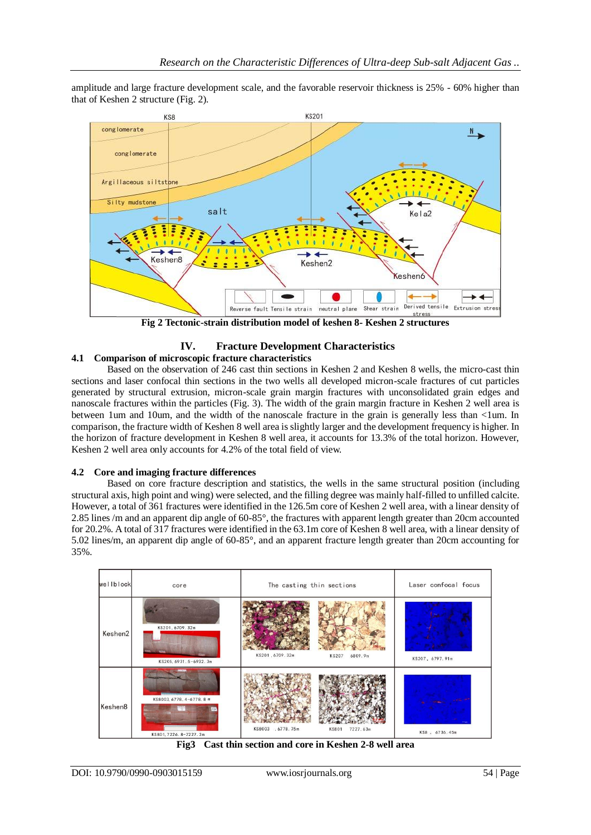amplitude and large fracture development scale, and the favorable reservoir thickness is 25% - 60% higher than that of Keshen 2 structure (Fig. 2).



**Fig 2 Tectonic-strain distribution model of keshen 8- Keshen 2 structures**

# **IV. Fracture Development Characteristics**

# **4.1 Comparison of microscopic fracture characteristics**

Based on the observation of 246 cast thin sections in Keshen 2 and Keshen 8 wells, the micro-cast thin sections and laser confocal thin sections in the two wells all developed micron-scale fractures of cut particles generated by structural extrusion, micron-scale grain margin fractures with unconsolidated grain edges and nanoscale fractures within the particles (Fig. 3). The width of the grain margin fracture in Keshen 2 well area is between 1um and 10um, and the width of the nanoscale fracture in the grain is generally less than <1um. In comparison, the fracture width of Keshen 8 well area is slightly larger and the development frequency is higher. In the horizon of fracture development in Keshen 8 well area, it accounts for 13.3% of the total horizon. However, Keshen 2 well area only accounts for 4.2% of the total field of view.

# **4.2 Core and imaging fracture differences**

Based on core fracture description and statistics, the wells in the same structural position (including structural axis, high point and wing) were selected, and the filling degree was mainly half-filled to unfilled calcite. However, a total of 361 fractures were identified in the 126.5m core of Keshen 2 well area, with a linear density of 2.85 lines /m and an apparent dip angle of 60-85°, the fractures with apparent length greater than 20cm accounted for 20.2%. A total of 317 fractures were identified in the 63.1m core of Keshen 8 well area, with a linear density of 5.02 lines/m, an apparent dip angle of 60-85°, and an apparent fracture length greater than 20cm accounting for 35%.



**Fig3 Cast thin section and core in Keshen 2-8 well area**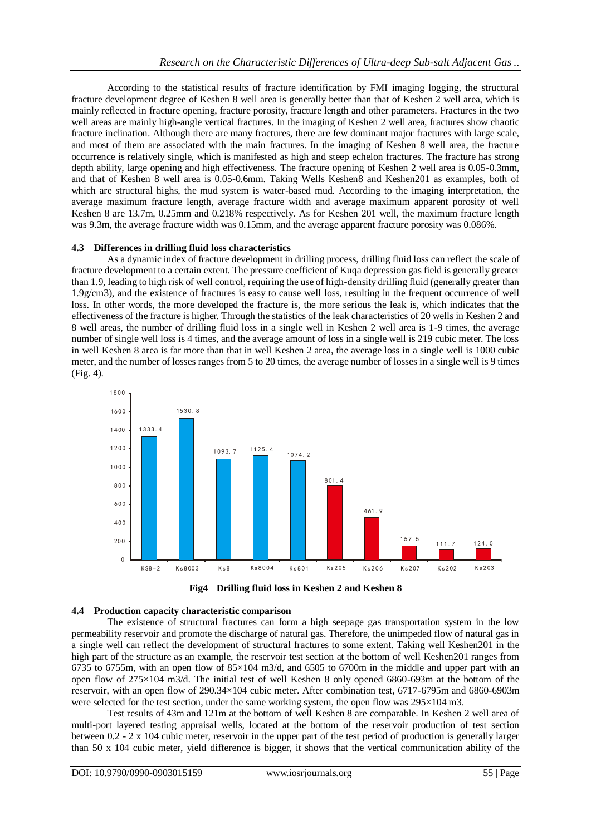According to the statistical results of fracture identification by FMI imaging logging, the structural fracture development degree of Keshen 8 well area is generally better than that of Keshen 2 well area, which is mainly reflected in fracture opening, fracture porosity, fracture length and other parameters. Fractures in the two well areas are mainly high-angle vertical fractures. In the imaging of Keshen 2 well area, fractures show chaotic fracture inclination. Although there are many fractures, there are few dominant major fractures with large scale, and most of them are associated with the main fractures. In the imaging of Keshen 8 well area, the fracture occurrence is relatively single, which is manifested as high and steep echelon fractures. The fracture has strong depth ability, large opening and high effectiveness. The fracture opening of Keshen 2 well area is 0.05-0.3mm, and that of Keshen 8 well area is 0.05-0.6mm. Taking Wells Keshen8 and Keshen201 as examples, both of which are structural highs, the mud system is water-based mud. According to the imaging interpretation, the average maximum fracture length, average fracture width and average maximum apparent porosity of well Keshen 8 are 13.7m, 0.25mm and 0.218% respectively. As for Keshen 201 well, the maximum fracture length was 9.3m, the average fracture width was 0.15mm, and the average apparent fracture porosity was 0.086%.

### **4.3 Differences in drilling fluid loss characteristics**

As a dynamic index of fracture development in drilling process, drilling fluid loss can reflect the scale of fracture development to a certain extent. The pressure coefficient of Kuqa depression gas field is generally greater than 1.9, leading to high risk of well control, requiring the use of high-density drilling fluid (generally greater than 1.9g/cm3), and the existence of fractures is easy to cause well loss, resulting in the frequent occurrence of well loss. In other words, the more developed the fracture is, the more serious the leak is, which indicates that the effectiveness of the fracture is higher. Through the statistics of the leak characteristics of 20 wells in Keshen 2 and 8 well areas, the number of drilling fluid loss in a single well in Keshen 2 well area is 1-9 times, the average number of single well loss is 4 times, and the average amount of loss in a single well is 219 cubic meter. The loss in well Keshen 8 area is far more than that in well Keshen 2 area, the average loss in a single well is 1000 cubic meter, and the number of losses ranges from 5 to 20 times, the average number of losses in a single well is 9 times (Fig. 4).





#### **4.4 Production capacity characteristic comparison**

The existence of structural fractures can form a high seepage gas transportation system in the low permeability reservoir and promote the discharge of natural gas. Therefore, the unimpeded flow of natural gas in a single well can reflect the development of structural fractures to some extent. Taking well Keshen201 in the high part of the structure as an example, the reservoir test section at the bottom of well Keshen201 ranges from 6735 to 6755m, with an open flow of  $85\times104$  m3/d, and 6505 to 6700m in the middle and upper part with an open flow of 275×104 m3/d. The initial test of well Keshen 8 only opened 6860-693m at the bottom of the reservoir, with an open flow of 290.34×104 cubic meter. After combination test, 6717-6795m and 6860-6903m were selected for the test section, under the same working system, the open flow was  $295\times104$  m3.

Test results of 43m and 121m at the bottom of well Keshen 8 are comparable. In Keshen 2 well area of multi-port layered testing appraisal wells, located at the bottom of the reservoir production of test section between 0.2 - 2 x 104 cubic meter, reservoir in the upper part of the test period of production is generally larger than 50 x 104 cubic meter, yield difference is bigger, it shows that the vertical communication ability of the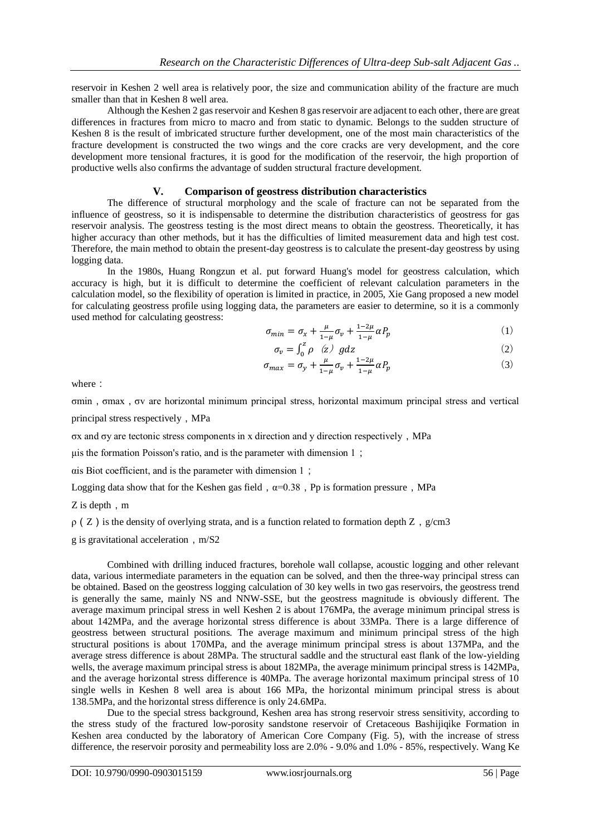reservoir in Keshen 2 well area is relatively poor, the size and communication ability of the fracture are much smaller than that in Keshen 8 well area.

Although the Keshen 2 gas reservoir and Keshen 8 gas reservoir are adjacent to each other, there are great differences in fractures from micro to macro and from static to dynamic. Belongs to the sudden structure of Keshen 8 is the result of imbricated structure further development, one of the most main characteristics of the fracture development is constructed the two wings and the core cracks are very development, and the core development more tensional fractures, it is good for the modification of the reservoir, the high proportion of productive wells also confirms the advantage of sudden structural fracture development.

#### **V. Comparison of geostress distribution characteristics**

The difference of structural morphology and the scale of fracture can not be separated from the influence of geostress, so it is indispensable to determine the distribution characteristics of geostress for gas reservoir analysis. The geostress testing is the most direct means to obtain the geostress. Theoretically, it has higher accuracy than other methods, but it has the difficulties of limited measurement data and high test cost. Therefore, the main method to obtain the present-day geostress is to calculate the present-day geostress by using logging data.

In the 1980s, Huang Rongzun et al. put forward Huang's model for geostress calculation, which accuracy is high, but it is difficult to determine the coefficient of relevant calculation parameters in the calculation model, so the flexibility of operation is limited in practice, in 2005, Xie Gang proposed a new model for calculating geostress profile using logging data, the parameters are easier to determine, so it is a commonly used method for calculating geostress:

$$
\sigma_{min} = \sigma_x + \frac{\mu}{1-\mu}\sigma_v + \frac{1-2\mu}{1-\mu}\alpha P_p \tag{1}
$$

$$
\sigma_v = \int_0^z \rho \quad (z) \, g \, dz \tag{2}
$$

$$
\sigma_{max} = \sigma_y + \frac{\mu}{1-\mu}\sigma_v + \frac{1-2\mu}{1-\mu}\alpha P_p \tag{3}
$$

where:

σmin,σmax,σv are horizontal minimum principal stress, horizontal maximum principal stress and vertical principal stress respectively, MPa

σx and σy are tectonic stress components in x direction and y direction respectively,MPa

μis the formation Poisson's ratio, and is the parameter with dimension  $1$ ;

αis Biot coefficient, and is the parameter with dimension 1;

Logging data show that for the Keshen gas field,  $\alpha=0.38$ . Pp is formation pressure, MPa

Z is depth, m

 $\rho$  (Z) is the density of overlying strata, and is a function related to formation depth Z, g/cm3

g is gravitational acceleration,  $m/S2$ 

Combined with drilling induced fractures, borehole wall collapse, acoustic logging and other relevant data, various intermediate parameters in the equation can be solved, and then the three-way principal stress can be obtained. Based on the geostress logging calculation of 30 key wells in two gas reservoirs, the geostress trend is generally the same, mainly NS and NNW-SSE, but the geostress magnitude is obviously different. The average maximum principal stress in well Keshen 2 is about 176MPa, the average minimum principal stress is about 142MPa, and the average horizontal stress difference is about 33MPa. There is a large difference of geostress between structural positions. The average maximum and minimum principal stress of the high structural positions is about 170MPa, and the average minimum principal stress is about 137MPa, and the average stress difference is about 28MPa. The structural saddle and the structural east flank of the low-yielding wells, the average maximum principal stress is about 182MPa, the average minimum principal stress is 142MPa, and the average horizontal stress difference is 40MPa. The average horizontal maximum principal stress of 10 single wells in Keshen 8 well area is about 166 MPa, the horizontal minimum principal stress is about 138.5MPa, and the horizontal stress difference is only 24.6MPa.

Due to the special stress background, Keshen area has strong reservoir stress sensitivity, according to the stress study of the fractured low-porosity sandstone reservoir of Cretaceous Bashijiqike Formation in Keshen area conducted by the laboratory of American Core Company (Fig. 5), with the increase of stress difference, the reservoir porosity and permeability loss are 2.0% - 9.0% and 1.0% - 85%, respectively. Wang Ke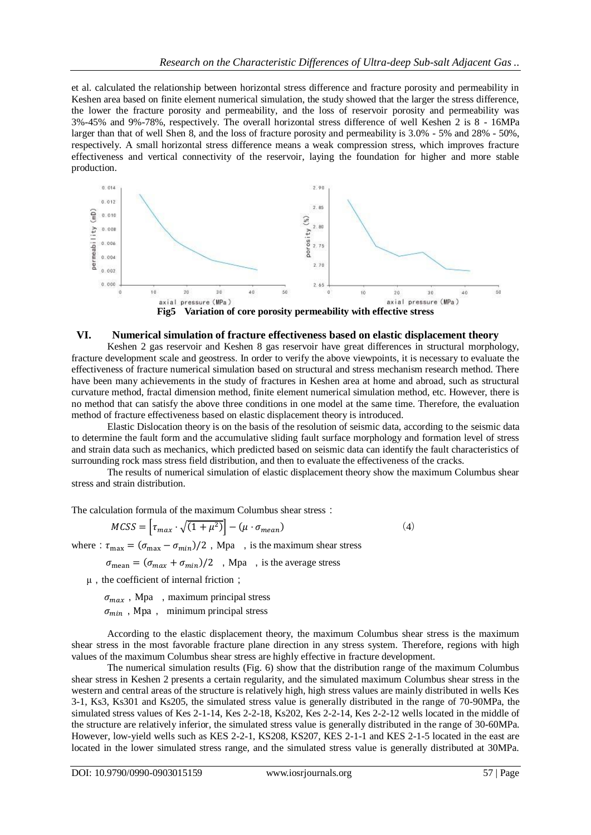et al. calculated the relationship between horizontal stress difference and fracture porosity and permeability in Keshen area based on finite element numerical simulation, the study showed that the larger the stress difference, the lower the fracture porosity and permeability, and the loss of reservoir porosity and permeability was 3%-45% and 9%-78%, respectively. The overall horizontal stress difference of well Keshen 2 is 8 - 16MPa larger than that of well Shen 8, and the loss of fracture porosity and permeability is 3.0% - 5% and 28% - 50%, respectively. A small horizontal stress difference means a weak compression stress, which improves fracture effectiveness and vertical connectivity of the reservoir, laying the foundation for higher and more stable production.



### **VI. Numerical simulation of fracture effectiveness based on elastic displacement theory**

Keshen 2 gas reservoir and Keshen 8 gas reservoir have great differences in structural morphology, fracture development scale and geostress. In order to verify the above viewpoints, it is necessary to evaluate the effectiveness of fracture numerical simulation based on structural and stress mechanism research method. There have been many achievements in the study of fractures in Keshen area at home and abroad, such as structural curvature method, fractal dimension method, finite element numerical simulation method, etc. However, there is no method that can satisfy the above three conditions in one model at the same time. Therefore, the evaluation method of fracture effectiveness based on elastic displacement theory is introduced.

Elastic Dislocation theory is on the basis of the resolution of seismic data, according to the seismic data to determine the fault form and the accumulative sliding fault surface morphology and formation level of stress and strain data such as mechanics, which predicted based on seismic data can identify the fault characteristics of surrounding rock mass stress field distribution, and then to evaluate the effectiveness of the cracks.

The results of numerical simulation of elastic displacement theory show the maximum Columbus shear stress and strain distribution.

The calculation formula of the maximum Columbus shear stress:

$$
MCSS = \left[\tau_{max} \cdot \sqrt{(1 + \mu^2)}\right] - (\mu \cdot \sigma_{mean})\tag{4}
$$

where:  $\tau_{\text{max}} = (\sigma_{\text{max}} - \sigma_{\text{min}})/2$ , Mpa, is the maximum shear stress

 $\sigma_{\text{mean}} = (\sigma_{\text{max}} + \sigma_{\text{min}})/2$ , Mpa, is the average stress

 $\mu$ , the coefficient of internal friction;

 $\sigma_{max}$ , Mpa, maximum principal stress

 $\sigma_{min}$ , Mpa, minimum principal stress

According to the elastic displacement theory, the maximum Columbus shear stress is the maximum shear stress in the most favorable fracture plane direction in any stress system. Therefore, regions with high values of the maximum Columbus shear stress are highly effective in fracture development.

The numerical simulation results (Fig. 6) show that the distribution range of the maximum Columbus shear stress in Keshen 2 presents a certain regularity, and the simulated maximum Columbus shear stress in the western and central areas of the structure is relatively high, high stress values are mainly distributed in wells Kes 3-1, Ks3, Ks301 and Ks205, the simulated stress value is generally distributed in the range of 70-90MPa, the simulated stress values of Kes 2-1-14, Kes 2-2-18, Ks202, Kes 2-2-14, Kes 2-2-12 wells located in the middle of the structure are relatively inferior, the simulated stress value is generally distributed in the range of 30-60MPa. However, low-yield wells such as KES 2-2-1, KS208, KS207, KES 2-1-1 and KES 2-1-5 located in the east are located in the lower simulated stress range, and the simulated stress value is generally distributed at 30MPa.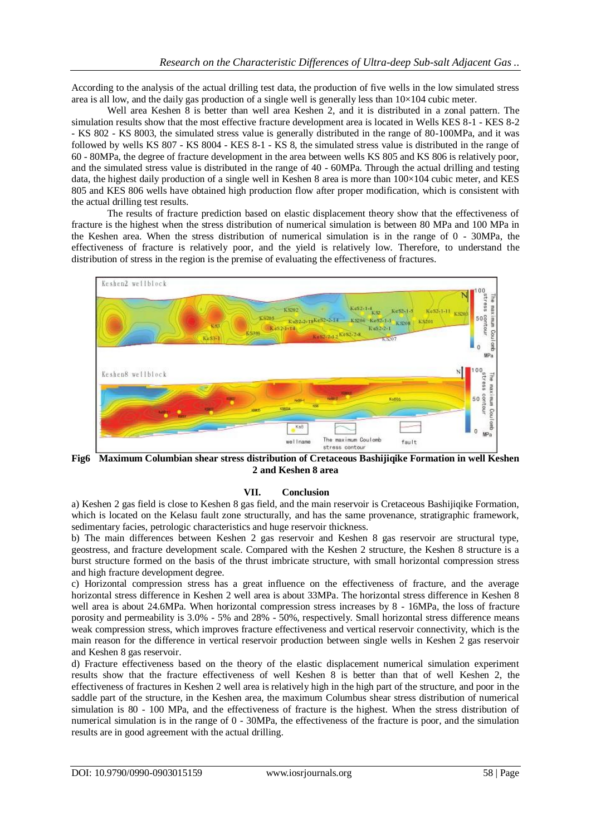According to the analysis of the actual drilling test data, the production of five wells in the low simulated stress area is all low, and the daily gas production of a single well is generally less than  $10\times104$  cubic meter.

Well area Keshen 8 is better than well area Keshen 2, and it is distributed in a zonal pattern. The simulation results show that the most effective fracture development area is located in Wells KES 8-1 - KES 8-2 - KS 802 - KS 8003, the simulated stress value is generally distributed in the range of 80-100MPa, and it was followed by wells KS 807 - KS 8004 - KES 8-1 - KS 8, the simulated stress value is distributed in the range of 60 - 80MPa, the degree of fracture development in the area between wells KS 805 and KS 806 is relatively poor, and the simulated stress value is distributed in the range of 40 - 60MPa. Through the actual drilling and testing data, the highest daily production of a single well in Keshen 8 area is more than  $100\times104$  cubic meter, and KES 805 and KES 806 wells have obtained high production flow after proper modification, which is consistent with the actual drilling test results.

The results of fracture prediction based on elastic displacement theory show that the effectiveness of fracture is the highest when the stress distribution of numerical simulation is between 80 MPa and 100 MPa in the Keshen area. When the stress distribution of numerical simulation is in the range of 0 - 30MPa, the effectiveness of fracture is relatively poor, and the yield is relatively low. Therefore, to understand the distribution of stress in the region is the premise of evaluating the effectiveness of fractures.



**Fig6 Maximum Columbian shear stress distribution of Cretaceous Bashijiqike Formation in well Keshen 2 and Keshen 8 area**

### **VII. Conclusion**

a) Keshen 2 gas field is close to Keshen 8 gas field, and the main reservoir is Cretaceous Bashijiqike Formation, which is located on the Kelasu fault zone structurally, and has the same provenance, stratigraphic framework, sedimentary facies, petrologic characteristics and huge reservoir thickness.

b) The main differences between Keshen 2 gas reservoir and Keshen 8 gas reservoir are structural type, geostress, and fracture development scale. Compared with the Keshen 2 structure, the Keshen 8 structure is a burst structure formed on the basis of the thrust imbricate structure, with small horizontal compression stress and high fracture development degree.

c) Horizontal compression stress has a great influence on the effectiveness of fracture, and the average horizontal stress difference in Keshen 2 well area is about 33MPa. The horizontal stress difference in Keshen 8 well area is about 24.6MPa. When horizontal compression stress increases by 8 - 16MPa, the loss of fracture porosity and permeability is 3.0% - 5% and 28% - 50%, respectively. Small horizontal stress difference means weak compression stress, which improves fracture effectiveness and vertical reservoir connectivity, which is the main reason for the difference in vertical reservoir production between single wells in Keshen 2 gas reservoir and Keshen 8 gas reservoir.

d) Fracture effectiveness based on the theory of the elastic displacement numerical simulation experiment results show that the fracture effectiveness of well Keshen 8 is better than that of well Keshen 2, the effectiveness of fractures in Keshen 2 well area is relatively high in the high part of the structure, and poor in the saddle part of the structure, in the Keshen area, the maximum Columbus shear stress distribution of numerical simulation is 80 - 100 MPa, and the effectiveness of fracture is the highest. When the stress distribution of numerical simulation is in the range of 0 - 30MPa, the effectiveness of the fracture is poor, and the simulation results are in good agreement with the actual drilling.